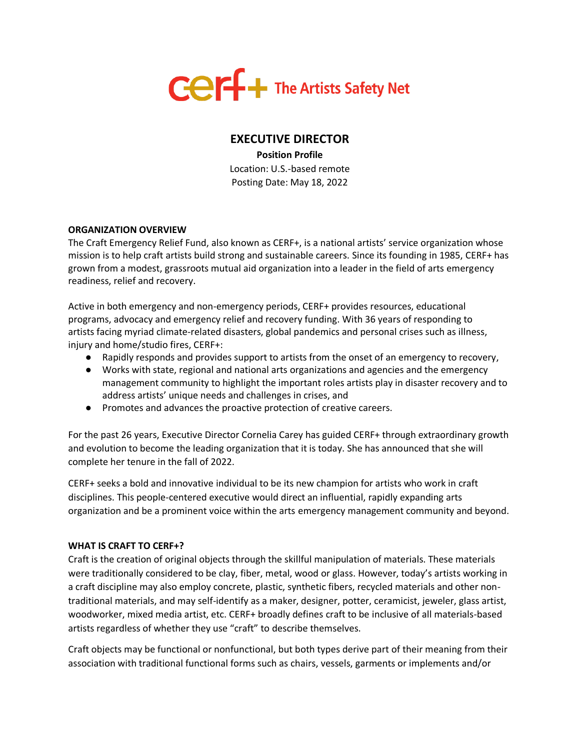

# **EXECUTIVE DIRECTOR**

**Position Profile** Location: U.S.-based remote Posting Date: May 18, 2022

## **ORGANIZATION OVERVIEW**

The Craft Emergency Relief Fund, also known as CERF+, is a national artists' service organization whose mission is to help craft artists build strong and sustainable careers. Since its founding in 1985, CERF+ has grown from a modest, grassroots mutual aid organization into a leader in the field of arts emergency readiness, relief and recovery.

Active in both emergency and non-emergency periods, CERF+ provides resources, educational programs, advocacy and emergency relief and recovery funding. With 36 years of responding to artists facing myriad climate-related disasters, global pandemics and personal crises such as illness, injury and home/studio fires, CERF+:

- Rapidly responds and provides support to artists from the onset of an emergency to recovery,
- Works with state, regional and national arts organizations and agencies and the emergency management community to highlight the important roles artists play in disaster recovery and to address artists' unique needs and challenges in crises, and
- Promotes and advances the proactive protection of creative careers.

For the past 26 years, Executive Director Cornelia Carey has guided CERF+ through extraordinary growth and evolution to become the leading organization that it is today. She has announced that she will complete her tenure in the fall of 2022.

CERF+ seeks a bold and innovative individual to be its new champion for artists who work in craft disciplines. This people-centered executive would direct an influential, rapidly expanding arts organization and be a prominent voice within the arts emergency management community and beyond.

#### **WHAT IS CRAFT TO CERF+?**

Craft is the creation of original objects through the skillful manipulation of materials. These materials were traditionally considered to be clay, fiber, metal, wood or glass. However, today's artists working in a craft discipline may also employ concrete, plastic, synthetic fibers, recycled materials and other nontraditional materials, and may self-identify as a maker, designer, potter, ceramicist, jeweler, glass artist, woodworker, mixed media artist, etc. CERF+ broadly defines craft to be inclusive of all materials-based artists regardless of whether they use "craft" to describe themselves.

Craft objects may be functional or nonfunctional, but both types derive part of their meaning from their association with traditional functional forms such as chairs, vessels, garments or implements and/or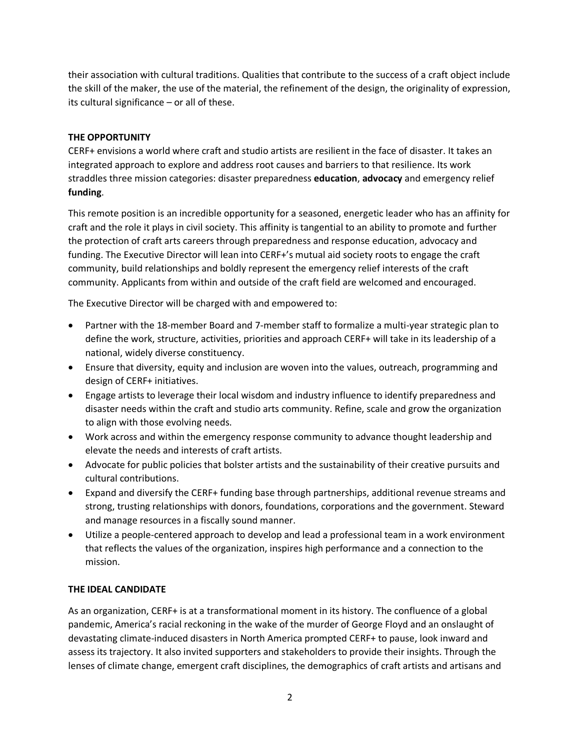their association with cultural traditions. Qualities that contribute to the success of a craft object include the skill of the maker, the use of the material, the refinement of the design, the originality of expression, its cultural significance – or all of these.

## **THE OPPORTUNITY**

CERF+ envisions a world where craft and studio artists are resilient in the face of disaster. It takes an integrated approach to explore and address root causes and barriers to that resilience. Its work straddles three mission categories: disaster preparedness **education**, **advocacy** and emergency relief **funding**.

This remote position is an incredible opportunity for a seasoned, energetic leader who has an affinity for craft and the role it plays in civil society. This affinity is tangential to an ability to promote and further the protection of craft arts careers through preparedness and response education, advocacy and funding. The Executive Director will lean into CERF+'s mutual aid society roots to engage the craft community, build relationships and boldly represent the emergency relief interests of the craft community. Applicants from within and outside of the craft field are welcomed and encouraged.

The Executive Director will be charged with and empowered to:

- Partner with the 18-member Board and 7-member staff to formalize a multi-year strategic plan to define the work, structure, activities, priorities and approach CERF+ will take in its leadership of a national, widely diverse constituency.
- Ensure that diversity, equity and inclusion are woven into the values, outreach, programming and design of CERF+ initiatives.
- Engage artists to leverage their local wisdom and industry influence to identify preparedness and disaster needs within the craft and studio arts community. Refine, scale and grow the organization to align with those evolving needs.
- Work across and within the emergency response community to advance thought leadership and elevate the needs and interests of craft artists.
- Advocate for public policies that bolster artists and the sustainability of their creative pursuits and cultural contributions.
- Expand and diversify the CERF+ funding base through partnerships, additional revenue streams and strong, trusting relationships with donors, foundations, corporations and the government. Steward and manage resources in a fiscally sound manner.
- Utilize a people-centered approach to develop and lead a professional team in a work environment that reflects the values of the organization, inspires high performance and a connection to the mission.

#### **THE IDEAL CANDIDATE**

As an organization, CERF+ is at a transformational moment in its history. The confluence of a global pandemic, America's racial reckoning in the wake of the murder of George Floyd and an onslaught of devastating climate-induced disasters in North America prompted CERF+ to pause, look inward and assess its trajectory. It also invited supporters and stakeholders to provide their insights. Through the lenses of climate change, emergent craft disciplines, the demographics of craft artists and artisans and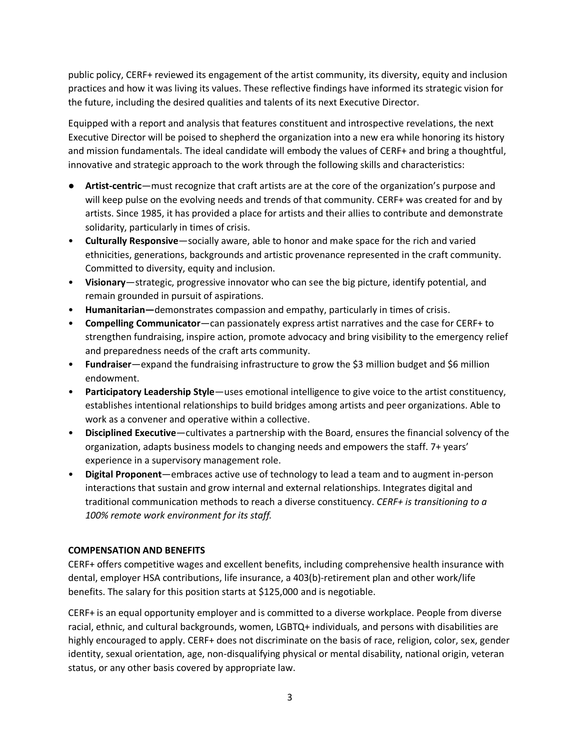public policy, CERF+ reviewed its engagement of the artist community, its diversity, equity and inclusion practices and how it was living its values. These reflective findings have informed its strategic vision for the future, including the desired qualities and talents of its next Executive Director.

Equipped with a report and analysis that features constituent and introspective revelations, the next Executive Director will be poised to shepherd the organization into a new era while honoring its history and mission fundamentals. The ideal candidate will embody the values of CERF+ and bring a thoughtful, innovative and strategic approach to the work through the following skills and characteristics:

- **Artist-centric**—must recognize that craft artists are at the core of the organization's purpose and will keep pulse on the evolving needs and trends of that community. CERF+ was created for and by artists. Since 1985, it has provided a place for artists and their allies to contribute and demonstrate solidarity, particularly in times of crisis.
- **Culturally Responsive**—socially aware, able to honor and make space for the rich and varied ethnicities, generations, backgrounds and artistic provenance represented in the craft community. Committed to diversity, equity and inclusion.
- **Visionary**—strategic, progressive innovator who can see the big picture, identify potential, and remain grounded in pursuit of aspirations.
- **Humanitarian—**demonstrates compassion and empathy, particularly in times of crisis.
- **Compelling Communicator**—can passionately express artist narratives and the case for CERF+ to strengthen fundraising, inspire action, promote advocacy and bring visibility to the emergency relief and preparedness needs of the craft arts community.
- **Fundraiser**—expand the fundraising infrastructure to grow the \$3 million budget and \$6 million endowment.
- **Participatory Leadership Style**—uses emotional intelligence to give voice to the artist constituency, establishes intentional relationships to build bridges among artists and peer organizations. Able to work as a convener and operative within a collective.
- **Disciplined Executive**—cultivates a partnership with the Board, ensures the financial solvency of the organization, adapts business models to changing needs and empowers the staff. 7+ years' experience in a supervisory management role.
- **Digital Proponent**—embraces active use of technology to lead a team and to augment in-person interactions that sustain and grow internal and external relationships. Integrates digital and traditional communication methods to reach a diverse constituency. *CERF+ is transitioning to a 100% remote work environment for its staff.*

#### **COMPENSATION AND BENEFITS**

CERF+ offers competitive wages and excellent benefits, including comprehensive health insurance with dental, employer HSA contributions, life insurance, a 403(b)-retirement plan and other work/life benefits. The salary for this position starts at \$125,000 and is negotiable.

CERF+ is an equal opportunity employer and is committed to a diverse workplace. People from diverse racial, ethnic, and cultural backgrounds, women, LGBTQ+ individuals, and persons with disabilities are highly encouraged to apply. CERF+ does not discriminate on the basis of race, religion, color, sex, gender identity, sexual orientation, age, non-disqualifying physical or mental disability, national origin, veteran status, or any other basis covered by appropriate law.